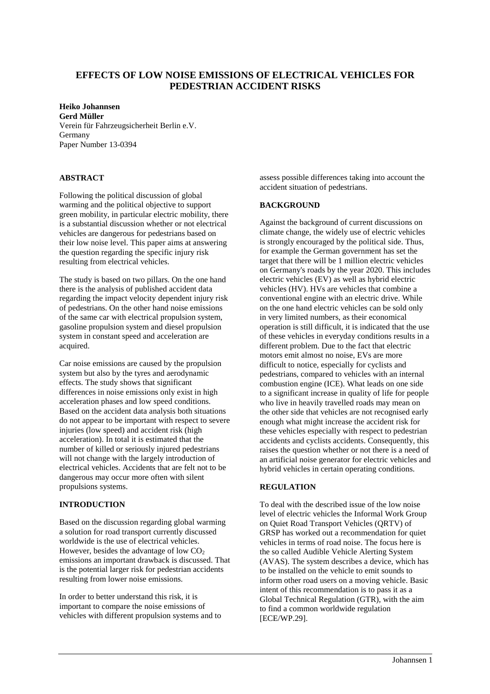# **EFFECTS OF LOW NOISE EMISSIONS OF ELECTRICAL VEHICLES FOR PEDESTRIAN ACCIDENT RISKS**

## **Heiko Johannsen**

**Gerd Müller** Verein für Fahrzeugsicherheit Berlin e.V. Germany Paper Number 13-0394

## **ABSTRACT**

Following the political discussion of global warming and the political objective to support green mobility, in particular electric mobility, there is a substantial discussion whether or not electrical vehicles are dangerous for pedestrians based on their low noise level. This paper aims at answering the question regarding the specific injury risk resulting from electrical vehicles.

The study is based on two pillars. On the one hand there is the analysis of published accident data regarding the impact velocity dependent injury risk of pedestrians. On the other hand noise emissions of the same car with electrical propulsion system, gasoline propulsion system and diesel propulsion system in constant speed and acceleration are acquired.

Car noise emissions are caused by the propulsion system but also by the tyres and aerodynamic effects. The study shows that significant differences in noise emissions only exist in high acceleration phases and low speed conditions. Based on the accident data analysis both situations do not appear to be important with respect to severe injuries (low speed) and accident risk (high acceleration). In total it is estimated that the number of killed or seriously injured pedestrians will not change with the largely introduction of electrical vehicles. Accidents that are felt not to be dangerous may occur more often with silent propulsions systems.

## **INTRODUCTION**

Based on the discussion regarding global warming a solution for road transport currently discussed worldwide is the use of electrical vehicles. However, besides the advantage of low  $CO<sub>2</sub>$ emissions an important drawback is discussed. That is the potential larger risk for pedestrian accidents resulting from lower noise emissions.

In order to better understand this risk, it is important to compare the noise emissions of vehicles with different propulsion systems and to assess possible differences taking into account the accident situation of pedestrians.

## **BACKGROUND**

Against the background of current discussions on climate change, the widely use of electric vehicles is strongly encouraged by the political side. Thus, for example the German government has set the target that there will be 1 million electric vehicles on Germany's roads by the year 2020. This includes electric vehicles (EV) as well as hybrid electric vehicles (HV). HVs are vehicles that combine a conventional engine with an electric drive. While on the one hand electric vehicles can be sold only in very limited numbers, as their economical operation is still difficult, it is indicated that the use of these vehicles in everyday conditions results in a different problem. Due to the fact that electric motors emit almost no noise, EVs are more difficult to notice, especially for cyclists and pedestrians, compared to vehicles with an internal combustion engine (ICE). What leads on one side to a significant increase in quality of life for people who live in heavily travelled roads may mean on the other side that vehicles are not recognised early enough what might increase the accident risk for these vehicles especially with respect to pedestrian accidents and cyclists accidents. Consequently, this raises the question whether or not there is a need of an artificial noise generator for electric vehicles and hybrid vehicles in certain operating conditions.

### **REGULATION**

To deal with the described issue of the low noise level of electric vehicles the Informal Work Group on Quiet Road Transport Vehicles (QRTV) of GRSP has worked out a recommendation for quiet vehicles in terms of road noise. The focus here is the so called Audible Vehicle Alerting System (AVAS). The system describes a device, which has to be installed on the vehicle to emit sounds to inform other road users on a moving vehicle. Basic intent of this recommendation is to pass it as a Global Technical Regulation (GTR), with the aim to find a common worldwide regulation [ECE/WP.29].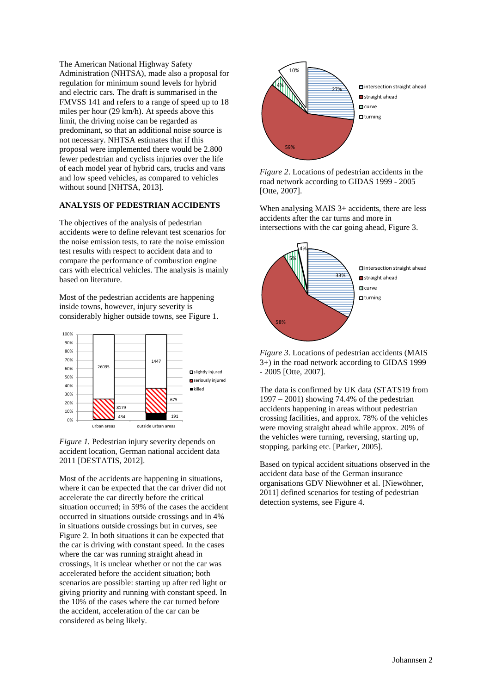The American National Highway Safety Administration (NHTSA), made also a proposal for regulation for minimum sound levels for hybrid and electric cars. The draft is summarised in the FMVSS 141 and refers to a range of speed up to 18 miles per hour (29 km/h). At speeds above this limit, the driving noise can be regarded as predominant, so that an additional noise source is not necessary. NHTSA estimates that if this proposal were implemented there would be 2.800 fewer pedestrian and cyclists injuries over the life of each model year of hybrid cars, trucks and vans and low speed vehicles, as compared to vehicles without sound [NHTSA, 2013].

### **ANALYSIS OF PEDESTRIAN ACCIDENTS**

The objectives of the analysis of pedestrian accidents were to define relevant test scenarios for the noise emission tests, to rate the noise emission test results with respect to accident data and to compare the performance of combustion engine cars with electrical vehicles. The analysis is mainly based on literature.

Most of the pedestrian accidents are happening inside towns, however, injury severity is considerably higher outside towns, see Figure 1.



*Figure 1.* Pedestrian injury severity depends on accident location, German national accident data 2011 [DESTATIS, 2012].

Most of the accidents are happening in situations, where it can be expected that the car driver did not accelerate the car directly before the critical situation occurred; in 59% of the cases the accident occurred in situations outside crossings and in 4% in situations outside crossings but in curves, see Figure 2. In both situations it can be expected that the car is driving with constant speed. In the cases where the car was running straight ahead in crossings, it is unclear whether or not the car was accelerated before the accident situation; both scenarios are possible: starting up after red light or giving priority and running with constant speed. In the 10% of the cases where the car turned before the accident, acceleration of the car can be considered as being likely.



*Figure 2*. Locations of pedestrian accidents in the road network according to GIDAS 1999 - 2005 [Otte, 2007].

When analysing MAIS 3+ accidents, there are less accidents after the car turns and more in intersections with the car going ahead, Figure 3.



*Figure 3*. Locations of pedestrian accidents (MAIS 3+) in the road network according to GIDAS 1999 - 2005 [Otte, 2007].

The data is confirmed by UK data (STATS19 from 1997 – 2001) showing 74.4% of the pedestrian accidents happening in areas without pedestrian crossing facilities, and approx. 78% of the vehicles were moving straight ahead while approx. 20% of the vehicles were turning, reversing, starting up, stopping, parking etc. [Parker, 2005].

Based on typical accident situations observed in the accident data base of the German insurance organisations GDV Niewöhner et al. [Niewöhner, 2011] defined scenarios for testing of pedestrian detection systems, see Figure 4.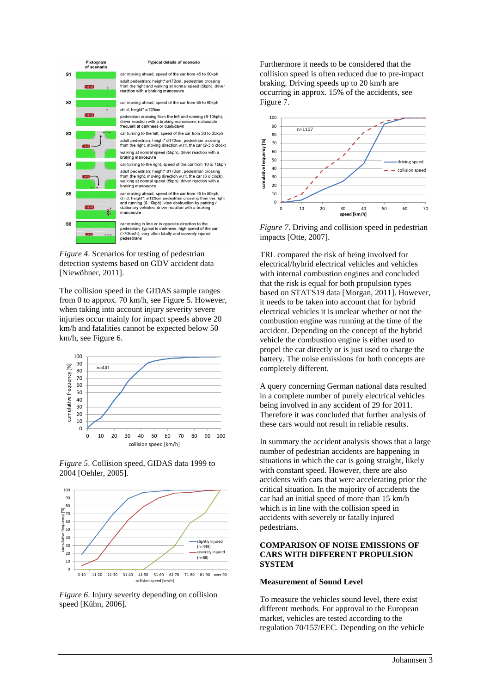

*Figure 4*. Scenarios for testing of pedestrian detection systems based on GDV accident data [Niewöhner, 2011].

The collision speed in the GIDAS sample ranges from 0 to approx. 70 km/h, see Figure 5. However, when taking into account injury severity severe injuries occur mainly for impact speeds above 20 km/h and fatalities cannot be expected below 50 km/h, see Figure 6.

![](_page_2_Figure_3.jpeg)

![](_page_2_Figure_4.jpeg)

![](_page_2_Figure_5.jpeg)

*Figure 6*. Injury severity depending on collision speed [Kühn, 2006].

Furthermore it needs to be considered that the collision speed is often reduced due to pre-impact braking. Driving speeds up to 20 km/h are occurring in approx. 15% of the accidents, see Figure 7.

![](_page_2_Figure_8.jpeg)

*Figure 7*. Driving and collision speed in pedestrian impacts [Otte, 2007].

TRL compared the risk of being involved for electrical/hybrid electrical vehicles and vehicles with internal combustion engines and concluded that the risk is equal for both propulsion types based on STATS19 data [Morgan, 2011]. However, it needs to be taken into account that for hybrid electrical vehicles it is unclear whether or not the combustion engine was running at the time of the accident. Depending on the concept of the hybrid vehicle the combustion engine is either used to propel the car directly or is just used to charge the battery. The noise emissions for both concepts are completely different.

A query concerning German national data resulted in a complete number of purely electrical vehicles being involved in any accident of 29 for 2011. Therefore it was concluded that further analysis of these cars would not result in reliable results.

In summary the accident analysis shows that a large number of pedestrian accidents are happening in situations in which the car is going straight, likely with constant speed. However, there are also accidents with cars that were accelerating prior the critical situation. In the majority of accidents the car had an initial speed of more than 15 km/h which is in line with the collision speed in accidents with severely or fatally injured pedestrians.

#### **COMPARISON OF NOISE EMISSIONS OF CARS WITH DIFFERENT PROPULSION SYSTEM**

#### **Measurement of Sound Level**

To measure the vehicles sound level, there exist different methods. For approval to the European market, vehicles are tested according to the regulation 70/157/EEC. Depending on the vehicle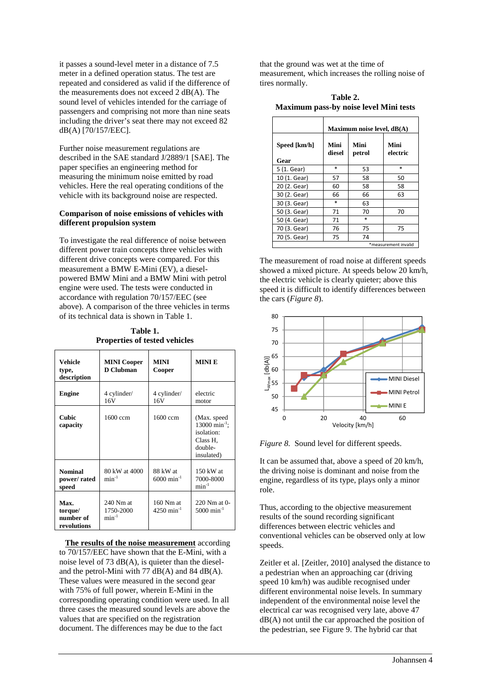it passes a sound-level meter in a distance of 7.5 meter in a defined operation status. The test are repeated and considered as valid if the difference of the measurements does not exceed 2 dB(A). The sound level of vehicles intended for the carriage of passengers and comprising not more than nine seats including the driver's seat there may not exceed 82 dB(A) [70/157/EEC].

Further noise measurement regulations are described in the SAE standard J/2889/1 [SAE]. The paper specifies an engineering method for measuring the minimum noise emitted by road vehicles. Here the real operating conditions of the vehicle with its background noise are respected.

#### **Comparison of noise emissions of vehicles with different propulsion system**

To investigate the real difference of noise between different power train concepts three vehicles with different drive concepts were compared. For this measurement a BMW E-Mini (EV), a dieselpowered BMW Mini and a BMW Mini with petrol engine were used. The tests were conducted in accordance with regulation 70/157/EEC (see above). A comparison of the three vehicles in terms of its technical data is shown in Table 1.

| Table 1.                             |  |  |  |  |  |  |
|--------------------------------------|--|--|--|--|--|--|
| <b>Properties of tested vehicles</b> |  |  |  |  |  |  |

| <b>Vehicle</b><br>type,<br>description      | <b>MINI Cooper</b><br>D Clubman         | <b>MINI</b><br>Cooper                 | <b>MINIE</b>                                                                                 |
|---------------------------------------------|-----------------------------------------|---------------------------------------|----------------------------------------------------------------------------------------------|
| <b>Engine</b>                               | 4 cylinder/<br>16V                      | 4 cylinder/<br>16V                    | electric<br>motor                                                                            |
| Cubic<br>capacity                           | 1600 ccm                                | 1600 ccm                              | (Max. speed<br>$13000 \text{ min}^{-1}$ ;<br>isolation:<br>Class H.<br>double-<br>insulated) |
| <b>Nominal</b><br>power/rated<br>speed      | 80 kW at 4000<br>$min^{-1}$             | 88 kW at<br>$6000 \text{ min}^{-1}$   | $150$ kW at<br>7000-8000<br>$min^{-1}$                                                       |
| Max.<br>torque/<br>number of<br>revolutions | $240$ Nm at<br>1750-2000<br>$\min^{-1}$ | 160 Nm at<br>$4250$ min <sup>-1</sup> | 220 Nm at 0-<br>$5000 \text{ min}^{-1}$                                                      |

**The results of the noise measurement** according to 70/157/EEC have shown that the E-Mini, with a noise level of 73  $dB(A)$ , is quieter than the dieseland the petrol-Mini with 77  $dB(A)$  and 84  $dB(A)$ . These values were measured in the second gear with 75% of full power, wherein E-Mini in the corresponding operating condition were used. In all three cases the measured sound levels are above the values that are specified on the registration document. The differences may be due to the fact

that the ground was wet at the time of measurement, which increases the rolling noise of tires normally.

**Table 2. Maximum pass-by noise level Mini tests** 

|                      | Maximum noise level, dB(A) |                |                  |  |
|----------------------|----------------------------|----------------|------------------|--|
| Speed [km/h]<br>Gear | Mini<br>diesel             | Mini<br>petrol | Mini<br>electric |  |
| 5 (1. Gear)          | $\ast$                     | 53             | $\ast$           |  |
| 10 (1. Gear)         | 57                         | 58             | 50               |  |
| 20 (2. Gear)         | 60                         | 58             | 58               |  |
| 30 (2. Gear)         | 66                         | 66             | 63               |  |
| 30 (3. Gear)         | $\ast$                     | 63             |                  |  |
| 50 (3. Gear)         | 71                         | 70             | 70               |  |
| 50 (4. Gear)         | 71                         | $\ast$         |                  |  |
| 70 (3. Gear)         | 76                         | 75             | 75               |  |
| 70 (5. Gear)         | 75                         | 74             |                  |  |
| *measurement invalid |                            |                |                  |  |

The measurement of road noise at different speeds showed a mixed picture. At speeds below 20 km/h, the electric vehicle is clearly quieter; above this speed it is difficult to identify differences between the cars (*Figure 8*).

![](_page_3_Figure_11.jpeg)

*Figure 8.* Sound level for different speeds.

It can be assumed that, above a speed of 20 km/h, the driving noise is dominant and noise from the engine, regardless of its type, plays only a minor role.

Thus, according to the objective measurement results of the sound recording significant differences between electric vehicles and conventional vehicles can be observed only at low speeds.

Zeitler et al. [Zeitler, 2010] analysed the distance to a pedestrian when an approaching car (driving speed 10 km/h) was audible recognised under different environmental noise levels. In summary independent of the environmental noise level the electrical car was recognised very late, above 47  $dB(A)$  not until the car approached the position of the pedestrian, see Figure 9. The hybrid car that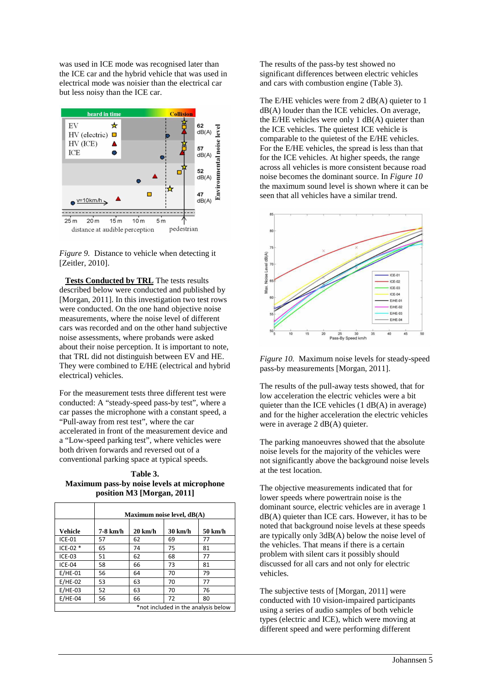was used in ICE mode was recognised later than the ICE car and the hybrid vehicle that was used in electrical mode was noisier than the electrical car but less noisy than the ICE car.

![](_page_4_Figure_1.jpeg)

*Figure 9.* Distance to vehicle when detecting it [Zeitler, 2010].

**Tests Conducted by TRL** The tests results described below were conducted and published by [Morgan, 2011]. In this investigation two test rows were conducted. On the one hand objective noise measurements, where the noise level of different cars was recorded and on the other hand subjective noise assessments, where probands were asked about their noise perception. It is important to note, that TRL did not distinguish between EV and HE. They were combined to E/HE (electrical and hybrid electrical) vehicles.

For the measurement tests three different test were conducted: A "steady-speed pass-by test", where a car passes the microphone with a constant speed, a "Pull-away from rest test", where the car accelerated in front of the measurement device and a "Low-speed parking test", where vehicles were both driven forwards and reversed out of a conventional parking space at typical speeds.

**Table 3. Maximum pass-by noise levels at microphone position M3 [Morgan, 2011]** 

|                                     | Maximum noise level, $dB(A)$ |                   |         |         |  |
|-------------------------------------|------------------------------|-------------------|---------|---------|--|
| Vehicle                             | 7-8 km/h                     | $20 \text{ km/h}$ | 30 km/h | 50 km/h |  |
| <b>ICE-01</b>                       | 57                           | 62                | 69      | 77      |  |
| $ICE-02*$                           | 65                           | 74                | 75      | 81      |  |
| $ICE-03$                            | 51                           | 62                | 68      | 77      |  |
| ICE-04                              | 58                           | 66                | 73      | 81      |  |
| $E/HE-01$                           | 56                           | 64                | 70      | 79      |  |
| $E/HE-02$                           | 53                           | 63                | 70      | 77      |  |
| $E/HE-03$                           | 52                           | 63                | 70      | 76      |  |
| $E/HE-04$                           | 56                           | 66                | 72      | 80      |  |
| *not included in the analysis below |                              |                   |         |         |  |

The results of the pass-by test showed no significant differences between electric vehicles and cars with combustion engine (Table 3).

The E/HE vehicles were from  $2 \text{ dB}(A)$  quieter to 1 dB(A) louder than the ICE vehicles. On average, the E/HE vehicles were only  $1 \text{ dB}(A)$  quieter than the ICE vehicles. The quietest ICE vehicle is comparable to the quietest of the E/HE vehicles. For the E/HE vehicles, the spread is less than that for the ICE vehicles. At higher speeds, the range across all vehicles is more consistent because road noise becomes the dominant source. In *Figure 10* the maximum sound level is shown where it can be seen that all vehicles have a similar trend.

![](_page_4_Figure_9.jpeg)

*Figure 10.* Maximum noise levels for steady-speed pass-by measurements [Morgan, 2011].

The results of the pull-away tests showed, that for low acceleration the electric vehicles were a bit quieter than the ICE vehicles  $(1 \text{ dB}(A))$  in average) and for the higher acceleration the electric vehicles were in average 2 dB(A) quieter.

The parking manoeuvres showed that the absolute noise levels for the majority of the vehicles were not significantly above the background noise levels at the test location.

The objective measurements indicated that for lower speeds where powertrain noise is the dominant source, electric vehicles are in average 1  $dB(A)$  quieter than ICE cars. However, it has to be noted that background noise levels at these speeds are typically only 3dB(A) below the noise level of the vehicles. That means if there is a certain problem with silent cars it possibly should discussed for all cars and not only for electric vehicles.

The subjective tests of [Morgan, 2011] were conducted with 10 vision-impaired participants using a series of audio samples of both vehicle types (electric and ICE), which were moving at different speed and were performing different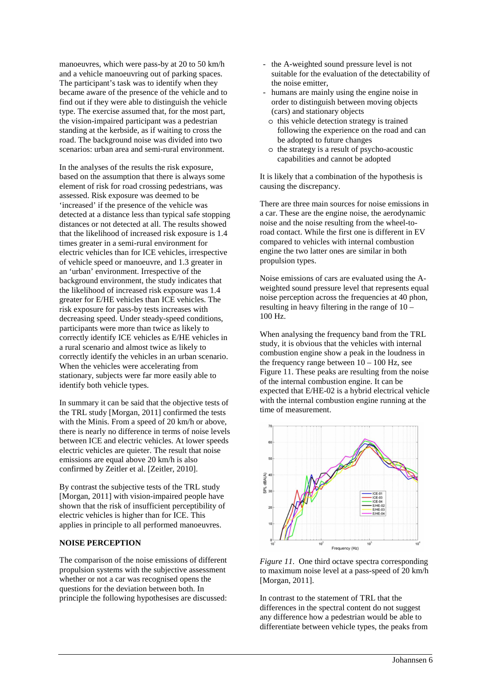manoeuvres, which were pass-by at 20 to 50 km/h and a vehicle manoeuvring out of parking spaces. The participant's task was to identify when they became aware of the presence of the vehicle and to find out if they were able to distinguish the vehicle type. The exercise assumed that, for the most part, the vision-impaired participant was a pedestrian standing at the kerbside, as if waiting to cross the road. The background noise was divided into two scenarios: urban area and semi-rural environment.

In the analyses of the results the risk exposure, based on the assumption that there is always some element of risk for road crossing pedestrians, was assessed. Risk exposure was deemed to be 'increased' if the presence of the vehicle was detected at a distance less than typical safe stopping distances or not detected at all. The results showed that the likelihood of increased risk exposure is 1.4 times greater in a semi-rural environment for electric vehicles than for ICE vehicles, irrespective of vehicle speed or manoeuvre, and 1.3 greater in an 'urban' environment. Irrespective of the background environment, the study indicates that the likelihood of increased risk exposure was 1.4 greater for E/HE vehicles than ICE vehicles. The risk exposure for pass-by tests increases with decreasing speed. Under steady-speed conditions, participants were more than twice as likely to correctly identify ICE vehicles as E/HE vehicles in a rural scenario and almost twice as likely to correctly identify the vehicles in an urban scenario. When the vehicles were accelerating from stationary, subjects were far more easily able to identify both vehicle types.

In summary it can be said that the objective tests of the TRL study [Morgan, 2011] confirmed the tests with the Minis. From a speed of 20 km/h or above, there is nearly no difference in terms of noise levels between ICE and electric vehicles. At lower speeds electric vehicles are quieter. The result that noise emissions are equal above 20 km/h is also confirmed by Zeitler et al. [Zeitler, 2010].

By contrast the subjective tests of the TRL study [Morgan, 2011] with vision-impaired people have shown that the risk of insufficient perceptibility of electric vehicles is higher than for ICE. This applies in principle to all performed manoeuvres.

#### **NOISE PERCEPTION**

The comparison of the noise emissions of different propulsion systems with the subjective assessment whether or not a car was recognised opens the questions for the deviation between both. In principle the following hypothesises are discussed:

- the A-weighted sound pressure level is not suitable for the evaluation of the detectability of the noise emitter,
- humans are mainly using the engine noise in order to distinguish between moving objects (cars) and stationary objects
- o this vehicle detection strategy is trained following the experience on the road and can be adopted to future changes
- o the strategy is a result of psycho-acoustic capabilities and cannot be adopted

It is likely that a combination of the hypothesis is causing the discrepancy.

There are three main sources for noise emissions in a car. These are the engine noise, the aerodynamic noise and the noise resulting from the wheel-toroad contact. While the first one is different in EV compared to vehicles with internal combustion engine the two latter ones are similar in both propulsion types.

Noise emissions of cars are evaluated using the Aweighted sound pressure level that represents equal noise perception across the frequencies at 40 phon, resulting in heavy filtering in the range of 10 – 100 Hz.

When analysing the frequency band from the TRL study, it is obvious that the vehicles with internal combustion engine show a peak in the loudness in the frequency range between  $10 - 100$  Hz, see Figure 11. These peaks are resulting from the noise of the internal combustion engine. It can be expected that E/HE-02 is a hybrid electrical vehicle with the internal combustion engine running at the time of measurement.

![](_page_5_Figure_14.jpeg)

*Figure 11.* One third octave spectra corresponding to maximum noise level at a pass-speed of 20 km/h [Morgan, 2011].

In contrast to the statement of TRL that the differences in the spectral content do not suggest any difference how a pedestrian would be able to differentiate between vehicle types, the peaks from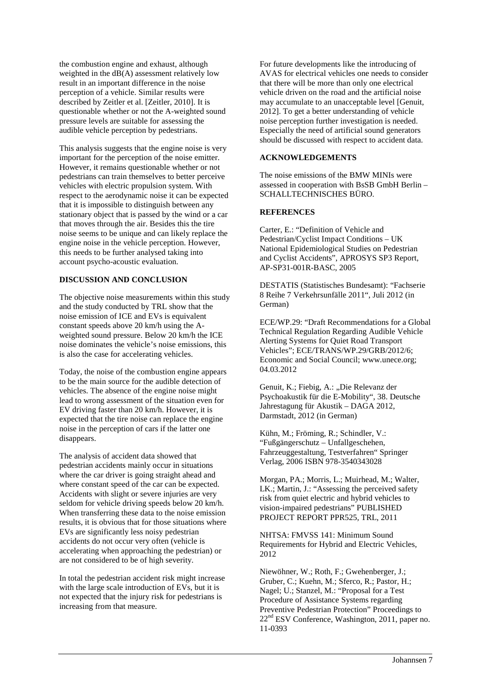the combustion engine and exhaust, although weighted in the  $dB(A)$  assessment relatively low result in an important difference in the noise perception of a vehicle. Similar results were described by Zeitler et al. [Zeitler, 2010]. It is questionable whether or not the A-weighted sound pressure levels are suitable for assessing the audible vehicle perception by pedestrians.

This analysis suggests that the engine noise is very important for the perception of the noise emitter. However, it remains questionable whether or not pedestrians can train themselves to better perceive vehicles with electric propulsion system. With respect to the aerodynamic noise it can be expected that it is impossible to distinguish between any stationary object that is passed by the wind or a car that moves through the air. Besides this the tire noise seems to be unique and can likely replace the engine noise in the vehicle perception. However, this needs to be further analysed taking into account psycho-acoustic evaluation.

### **DISCUSSION AND CONCLUSION**

The objective noise measurements within this study and the study conducted by TRL show that the noise emission of ICE and EVs is equivalent constant speeds above 20 km/h using the Aweighted sound pressure. Below 20 km/h the ICE noise dominates the vehicle's noise emissions, this is also the case for accelerating vehicles.

Today, the noise of the combustion engine appears to be the main source for the audible detection of vehicles. The absence of the engine noise might lead to wrong assessment of the situation even for EV driving faster than 20 km/h. However, it is expected that the tire noise can replace the engine noise in the perception of cars if the latter one disappears.

The analysis of accident data showed that pedestrian accidents mainly occur in situations where the car driver is going straight ahead and where constant speed of the car can be expected. Accidents with slight or severe injuries are very seldom for vehicle driving speeds below 20 km/h. When transferring these data to the noise emission results, it is obvious that for those situations where EVs are significantly less noisy pedestrian accidents do not occur very often (vehicle is accelerating when approaching the pedestrian) or are not considered to be of high severity.

In total the pedestrian accident risk might increase with the large scale introduction of EVs, but it is not expected that the injury risk for pedestrians is increasing from that measure.

For future developments like the introducing of AVAS for electrical vehicles one needs to consider that there will be more than only one electrical vehicle driven on the road and the artificial noise may accumulate to an unacceptable level [Genuit, 2012]. To get a better understanding of vehicle noise perception further investigation is needed. Especially the need of artificial sound generators should be discussed with respect to accident data.

## **ACKNOWLEDGEMENTS**

The noise emissions of the BMW MINIs were assessed in cooperation with BsSB GmbH Berlin – SCHALLTECHNISCHES BÜRO.

#### **REFERENCES**

Carter, E.: "Definition of Vehicle and Pedestrian/Cyclist Impact Conditions – UK National Epidemiological Studies on Pedestrian and Cyclist Accidents", APROSYS SP3 Report, AP-SP31-001R-BASC, 2005

DESTATIS (Statistisches Bundesamt): "Fachserie 8 Reihe 7 Verkehrsunfälle 2011", Juli 2012 (in German)

ECE/WP.29: "Draft Recommendations for a Global Technical Regulation Regarding Audible Vehicle Alerting Systems for Quiet Road Transport Vehicles"; ECE/TRANS/WP.29/GRB/2012/6; Economic and Social Council; www.unece.org; 04.03.2012

Genuit, K.; Fiebig, A.: "Die Relevanz der Psychoakustik für die E-Mobility", 38. Deutsche Jahrestagung für Akustik – DAGA 2012, Darmstadt, 2012 (in German)

Kühn, M.; Fröming, R.; Schindler, V.: "Fußgängerschutz – Unfallgeschehen, Fahrzeuggestaltung, Testverfahren" Springer Verlag, 2006 ISBN 978-3540343028

Morgan, PA.; Morris, L.; Muirhead, M.; Walter, LK.; Martin, J.: "Assessing the perceived safety risk from quiet electric and hybrid vehicles to vision-impaired pedestrians" PUBLISHED PROJECT REPORT PPR525, TRL, 2011

NHTSA: FMVSS 141: Minimum Sound Requirements for Hybrid and Electric Vehicles, 2012

Niewöhner, W.; Roth, F.; Gwehenberger, J.; Gruber, C.; Kuehn, M.; Sferco, R.; Pastor, H.; Nagel; U.; Stanzel, M.: "Proposal for a Test Procedure of Assistance Systems regarding Preventive Pedestrian Protection" Proceedings to 22nd ESV Conference, Washington, 2011, paper no. 11-0393